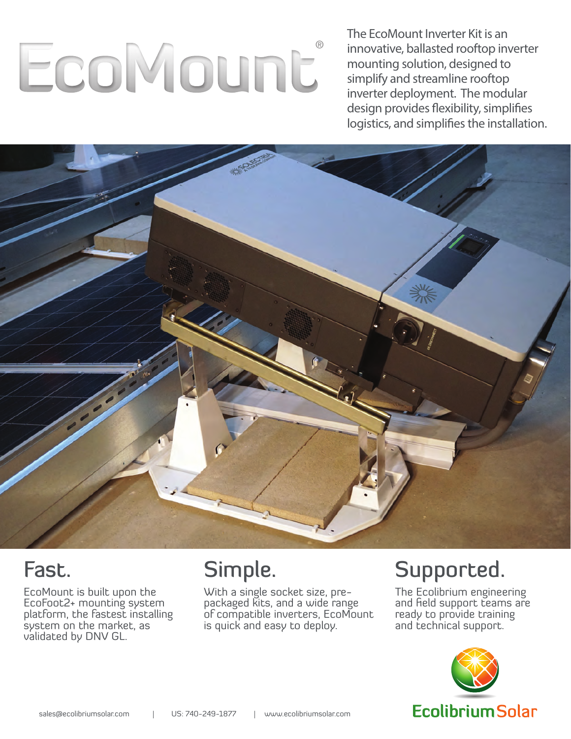# EcoMount

The EcoMount Inverter Kit is an innovative, ballasted rooftop inverter mounting solution, designed to simplify and streamline rooftop inverter deployment. The modular design provides flexibility, simplifies logistics, and simplifies the installation.



## Fast.

EcoMount is built upon the EcoFoot2+ mounting system platform, the fastest installing system on the market, as validated by DNV GL.

# Simple.

With a single socket size, prepackaged kits, and a wide range of compatible inverters, EcoMount is quick and easy to deploy.

## Supported.

The Ecolibrium engineering and field support teams are ready to provide training and technical support.